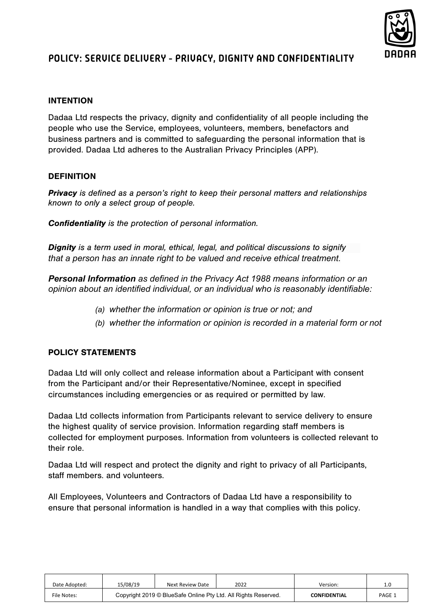

# **POLICY: SERVICE DELIVERY - PRIVACY, DIGNITY AND CONFIDENTIALITY**

# INTENTION

Dadaa Ltd respects the privacy, dignity and confidentiality of all people including the people who use the Service, employees, volunteers, members, benefactors and business partners and is committed to safeguarding the personal information that is provided. Dadaa Ltd adheres to the Australian Privacy Principles (APP).

# **DEFINITION**

**Privacy** is defined as a person's right to keep their personal matters and relationships known to only a select group of people.

Confidentiality is the protection of personal information.

**Dignity** is a term used in moral, ethical, legal, and political discussions to signify *that a person has an innate right to be valued and receive ethical treatment.*

*Personal Information as defined in the Privacy Act 1988 means information or an opinion about an identified individual, or an individual who is reasonably identifiable:*

- *(a) whether the information or opinion is true or not; and*
- *(b) whether the information or opinion is recorded in a material form or not*

## POLICY STATEMENTS

Dadaa Ltd will only collect and release information about a Participant with consent from the Participant and/or their Representative/Nominee, except in specified circumstances including emergencies or as required or permitted by law.

Dadaa Ltd collects information from Participants relevant to service delivery to ensure the highest quality of service provision. Information regarding staff members is collected for employment purposes. Information from volunteers is collected relevant to their role.

Dadaa Ltd will respect and protect the dignity and right to privacy of all Participants, staff members. and volunteers.

All Employees, Volunteers and Contractors of Dadaa Ltd have a responsibility to ensure that personal information is handled in a way that complies with this policy.

| Date Adopted: | 15/08/19                                                       | Next Review Date | 2022 | Version:            | 1.0         |
|---------------|----------------------------------------------------------------|------------------|------|---------------------|-------------|
| File Notes:   | Copyright 2019 © BlueSafe Online Pty Ltd. All Rights Reserved. |                  |      | <b>CONFIDENTIAL</b> | <b>PAGE</b> |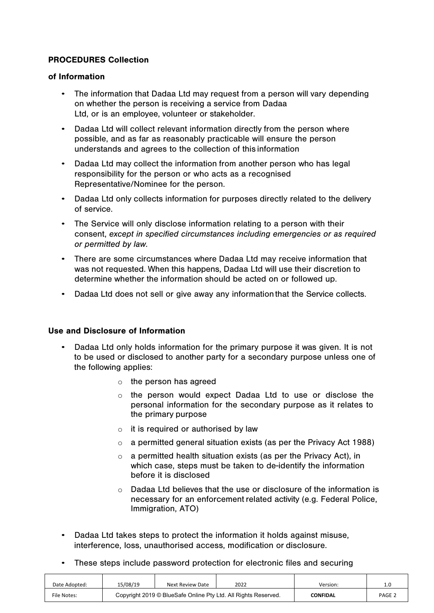# PROCEDURES Collection

#### of Information

- The information that Dadaa Ltd may request from a person will vary depending on whether the person is receiving a service from Dadaa Ltd, or is an employee, volunteer or stakeholder.
- Dadaa Ltd will collect relevant information directly from the person where possible, and as far as reasonably practicable will ensure the person understands and agrees to the collection of this information
- Dadaa Ltd may collect the information from another person who has legal responsibility for the person or who acts as a recognised Representative/Nominee for the person.
- Dadaa Ltd only collects information for purposes directly related to the delivery of service.
- The Service will only disclose information relating to a person with their consent, except in specified circumstances including emergencies or as required or permitted by law.
- There are some circumstances where Dadaa Ltd may receive information that was not requested. When this happens, Dadaa Ltd will use their discretion to determine whether the information should be acted on or followed up.
- Dadaa Ltd does not sell or give away any informationthat the Service collects.

#### Use and Disclosure of Information

- Dadaa Ltd only holds information for the primary purpose it was given. It is not to be used or disclosed to another party for a secondary purpose unless one of the following applies:
	- $\circ$  the person has agreed
	- o the person would expect Dadaa Ltd to use or disclose the personal information for the secondary purpose as it relates to the primary purpose
	- $\circ$  it is required or authorised by law
	- $\circ$  a permitted general situation exists (as per the Privacy Act 1988)
	- $\circ$  a permitted health situation exists (as per the Privacy Act), in which case, steps must be taken to de-identify the information before it is disclosed
	- o Dadaa Ltd believes that the use or disclosure of the information is necessary for an enforcement related activity (e.g. Federal Police, Immigration, ATO)
- Dadaa Ltd takes steps to protect the information it holds against misuse, interference, loss, unauthorised access, modification or disclosure.
- These steps include password protection for electronic files and securing

| Date Adopted: | 15/08/19                                                       | Next Review Date | 2022 | Version:        | 1.0               |
|---------------|----------------------------------------------------------------|------------------|------|-----------------|-------------------|
| File Notes:   | Copyright 2019 © BlueSafe Online Pty Ltd. All Rights Reserved. |                  |      | <b>CONFIDAL</b> | PAGE <sub>2</sub> |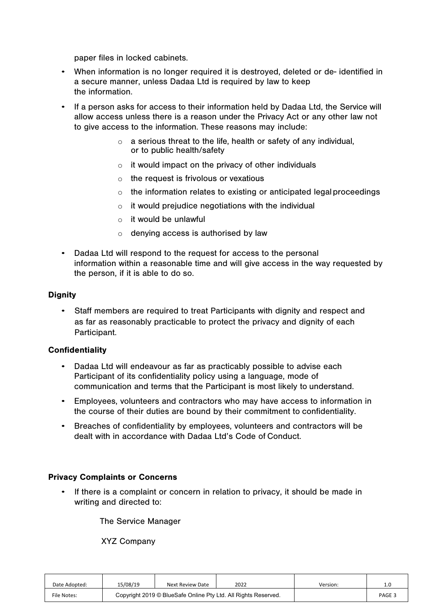paper files in locked cabinets.

- When information is no longer required it is destroyed, deleted or de- identified in a secure manner, unless Dadaa Ltd is required by law to keep the information.
- If a person asks for access to their information held by Dadaa Ltd, the Service will allow access unless there is a reason under the Privacy Act or any other law not to give access to the information. These reasons may include:
	- $\circ$  a serious threat to the life, health or safety of any individual, or to public health/safety
	- o it would impact on the privacy of other individuals
	- $\circ$  the request is frivolous or vexatious
	- $\circ$  the information relates to existing or anticipated legal proceedings
	- $\circ$  it would prejudice negotiations with the individual
	- $\circ$  it would be unlawful
	- o denying access is authorised by law
- Dadaa Ltd will respond to the request for access to the personal information within a reasonable time and will give access in the way requested by the person, if it is able to do so.

## **Dignity**

• Staff members are required to treat Participants with dignity and respect and as far as reasonably practicable to protect the privacy and dignity of each Participant.

## **Confidentiality**

- Dadaa Ltd will endeavour as far as practicably possible to advise each Participant of its confidentiality policy using a language, mode of communication and terms that the Participant is most likely to understand.
- Employees, volunteers and contractors who may have access to information in the course of their duties are bound by their commitment to confidentiality.
- Breaches of confidentiality by employees, volunteers and contractors will be dealt with in accordance with Dadaa Ltd's Code of Conduct.

## Privacy Complaints or Concerns

• If there is a complaint or concern in relation to privacy, it should be made in writing and directed to:

The Service Manager

XYZ Company

| Date Adopted: | 15/08/19                                                       | Next Review Date | 2022 | Version: | 1.0    |
|---------------|----------------------------------------------------------------|------------------|------|----------|--------|
| File Notes:   | Copyright 2019 © BlueSafe Online Pty Ltd. All Rights Reserved. |                  |      |          | PAGE 3 |